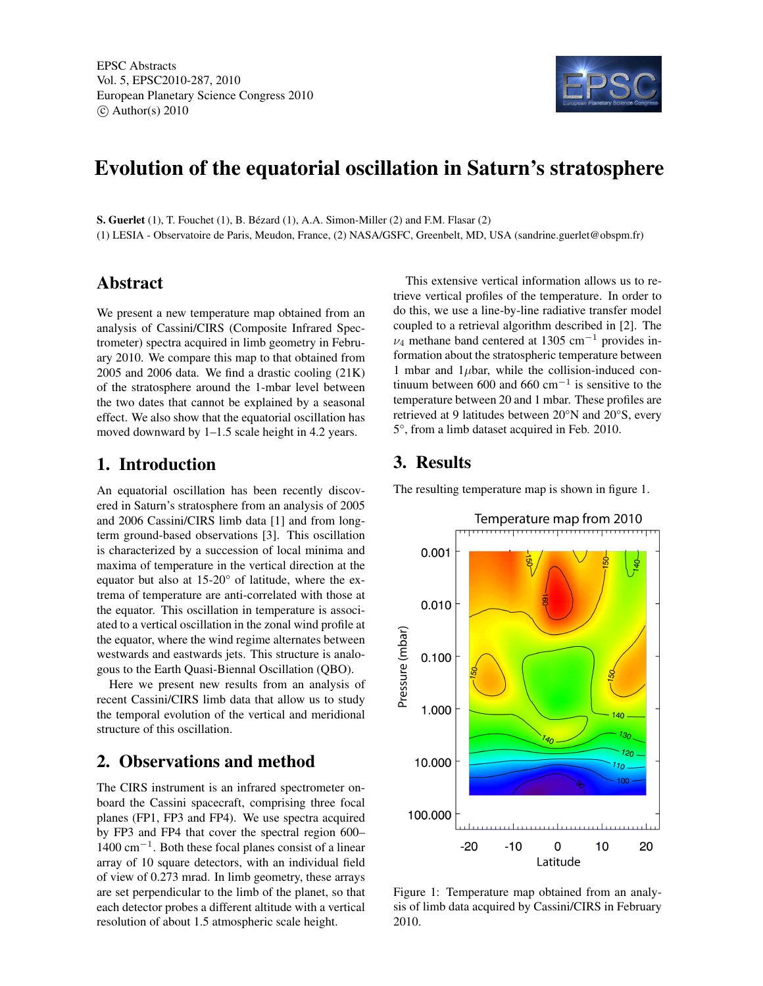

# Evolution of the equatorial oscillation in Saturn's stratosphere

S. Guerlet (1), T. Fouchet (1), B. Bézard (1), A.A. Simon-Miller (2) and F.M. Flasar (2) (1) LESIA - Observatoire de Paris, Meudon, France, (2) NASA/GSFC, Greenbelt, MD, USA (sandrine.guerlet@obspm.fr)

### Abstract

We present a new temperature map obtained from an analysis of Cassini/CIRS (Composite Infrared Spectrometer) spectra acquired in limb geometry in February 2010. We compare this map to that obtained from 2005 and 2006 data. We find a drastic cooling (21K) of the stratosphere around the 1-mbar level between the two dates that cannot be explained by a seasonal effect. We also show that the equatorial oscillation has moved downward by 1–1.5 scale height in 4.2 years.

### 1. Introduction

An equatorial oscillation has been recently discovered in Saturn's stratosphere from an analysis of 2005 and 2006 Cassini/CIRS limb data [1] and from longterm ground-based observations [3]. This oscillation is characterized by a succession of local minima and maxima of temperature in the vertical direction at the equator but also at 15-20° of latitude, where the extrema of temperature are anti-correlated with those at the equator. This oscillation in temperature is associated to a vertical oscillation in the zonal wind profile at the equator, where the wind regime alternates between westwards and eastwards jets. This structure is analogous to the Earth Quasi-Biennal Oscillation (QBO).

Here we present new results from an analysis of recent Cassini/CIRS limb data that allow us to study the temporal evolution of the vertical and meridional structure of this oscillation.

## 2. Observations and method

The CIRS instrument is an infrared spectrometer onboard the Cassini spacecraft, comprising three focal planes (FP1, FP3 and FP4). We use spectra acquired by FP3 and FP4 that cover the spectral region 600– 1400 cm−<sup>1</sup> . Both these focal planes consist of a linear array of 10 square detectors, with an individual field of view of 0.273 mrad. In limb geometry, these arrays are set perpendicular to the limb of the planet, so that each detector probes a different altitude with a vertical resolution of about 1.5 atmospheric scale height.

This extensive vertical information allows us to retrieve vertical profiles of the temperature. In order to do this, we use a line-by-line radiative transfer model coupled to a retrieval algorithm described in [2]. The  $\nu_4$  methane band centered at 1305 cm<sup>-1</sup> provides information about the stratospheric temperature between 1 mbar and  $1\mu$ bar, while the collision-induced continuum between 600 and 660 cm<sup>-1</sup> is sensitive to the temperature between 20 and 1 mbar. These profiles are retrieved at 9 latitudes between 20°N and 20°S, every 5°, from a limb dataset acquired in Feb. 2010.

## 3. Results

The resulting temperature map is shown in figure 1.



Figure 1: Temperature map obtained from an analysis of limb data acquired by Cassini/CIRS in February 2010.